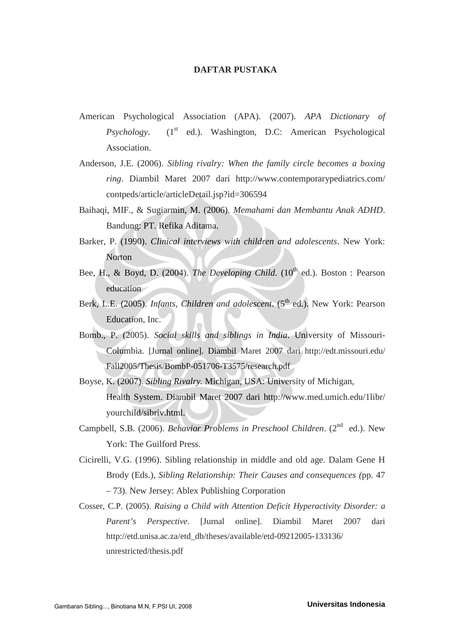## **DAFTAR PUSTAKA**

- American Psychological Association (APA). (2007). *APA Dictionary of Psychology.* (1<sup>st</sup> ed.). Washington, D.C: American Psychological Association.
- Anderson, J.E. (2006). *Sibling rivalry: When the family circle becomes a boxing ring*. Diambil Maret 2007 dari http://www.contemporarypediatrics.com/ contpeds/article/articleDetail.jsp?id=306594
- Baihaqi, MIF., & Sugiarmin, M. (2006). *Memahami dan Membantu Anak ADHD*. Bandung: PT. Refika Aditama.
- Barker, P. (1990). *Clinical interviews with children and adolescents*. New York: **Norton**
- Bee, H., & Boyd, D. (2004). *The Developing Child.* (10<sup>th</sup> ed.). Boston : Pearson education
- Berk, L.E. (2005). *Infants, Children and adolescent*. (5<sup>th</sup> ed.). New York: Pearson Education, Inc.
- Bomb., P. (2005). *Social skills and siblings in India*. University of Missouri-Columbia. [Jurnal online]. Diambil Maret 2007 dari http://edt.missouri.edu/ Fall2005/Thesis/BombP-051706-T3575/research.pdf
- Boyse, K. (2007). *Sibling Rivalry.* Michigan, USA: University of Michigan, Health System. Diambil Maret 2007 dari http://www.med.umich.edu/1libr/ yourchild/sibriv.html.
- Campbell, S.B. (2006). *Behavior Problems in Preschool Children*. (2<sup>nd</sup> ed.). New York: The Guilford Press.
- Cicirelli, V.G. (1996). Sibling relationship in middle and old age. Dalam Gene H Brody (Eds.), *Sibling Relationship: Their Causes and consequences (*pp. 47 – 73). New Jersey: Ablex Publishing Corporation
- Cosser, C.P. (2005). *Raising a Child with Attention Deficit Hyperactivity Disorder: a Parent's Perspective*. [Jurnal online]. Diambil Maret 2007 dari http://etd.unisa.ac.za/etd\_db/theses/available/etd-09212005-133136/ unrestricted/thesis.pdf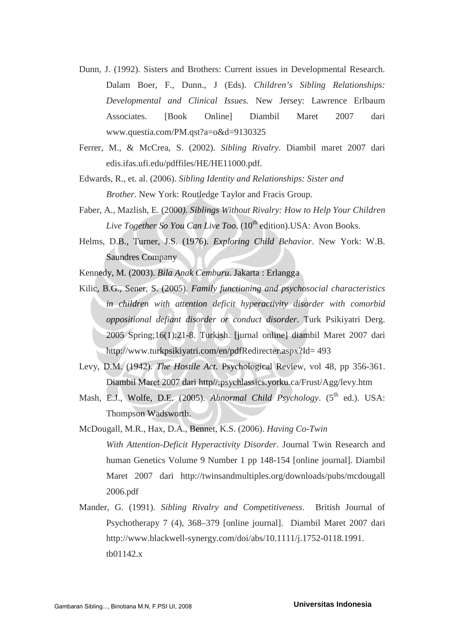- Dunn, J. (1992). Sisters and Brothers: Current issues in Developmental Research. Dalam Boer, F., Dunn., J (Eds). *Children's Sibling Relationships: Developmental and Clinical Issues.* New Jersey: Lawrence Erlbaum Associates. [Book Online] Diambil Maret 2007 dari www.questia.com/PM.qst?a=o&d=9130325
- Ferrer, M., & McCrea, S. (2002). *Sibling Rivalry*. Diambil maret 2007 dari edis.ifas.ufi.edu/pdffiles/HE/HE11000.pdf.
- Edwards, R., et. al. (2006). *Sibling Identity and Relationships: Sister and Brother*. New York: Routledge Taylor and Fracis Group.
- Faber, A., Mazlish, E. (2000*). Siblings Without Rivalry: How to Help Your Children Live Together So You Can Live Too.* (10<sup>th</sup> edition).USA: Avon Books.
- Helms, D.B., Turner, J.S. (1976). *Exploring Child Behavior*. New York: W.B. Saundres Company

Kennedy, M. (2003). *Bila Anak Cemburu*. Jakarta : Erlangga

- Kilic, B.G., Sener, S. (2005). *Family functioning and psychosocial characteristics in children with attention deficit hyperactivity disorder with comorbid oppositional defiant disorder or conduct disorder*. Turk Psikiyatri Derg. 2005 Spring;16(1):21-8. Turkish. [jurnal online] diambil Maret 2007 dari http://www.turkpsikiyatri.com/en/pdfRedirecter.aspx?Id= 493
- Levy, D.M. (1942). *The Hostile Act*. Psychological Review, vol 48, pp 356-361. Diambil Maret 2007 dari http//:psychlassics.yorku.ca/Frust/Agg/levy.htm
- Mash, E.J., Wolfe, D.E. (2005). *Abnormal Child Psychology*. (5<sup>th</sup> ed.). USA: Thompson Wadsworth.
- McDougall, M.R., Hax, D.A., Bennet, K.S. (2006). *Having Co-Twin With Attention-Deficit Hyperactivity Disorder*. Journal Twin Research and human Genetics Volume 9 Number 1 pp 148-154 [online journal]. Diambil Maret 2007 dari http://twinsandmultiples.org/downloads/pubs/mcdougall 2006.pdf
- Mander, G. (1991). *Sibling Rivalry and Competitiveness*. British Journal of Psychotherapy 7 (4), 368–379 [online journal]. Diambil Maret 2007 dari http://www.blackwell-synergy.com/doi/abs/10.1111/j.1752-0118.1991. tb01142.x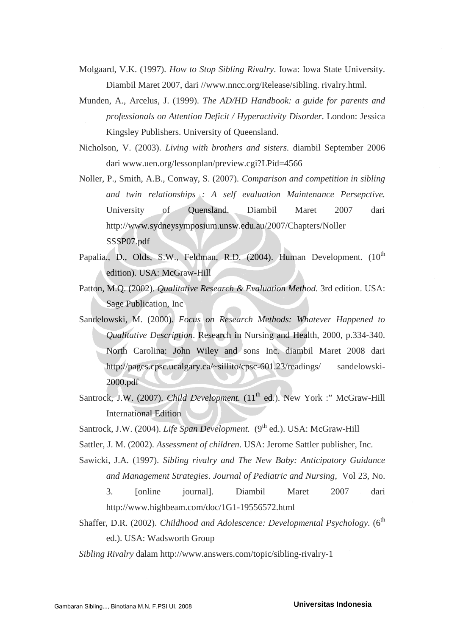Molgaard, V.K. (1997). *How to Stop Sibling Rivalry*. Iowa: Iowa State University. Diambil Maret 2007, dari //www.nncc.org/Release/sibling. rivalry.html.

Munden, A., Arcelus, J. (1999). *The AD/HD Handbook: a guide for parents and professionals on Attention Deficit / Hyperactivity Disorder*. London: Jessica Kingsley Publishers. University of Queensland.

Nicholson, V. (2003). *Living with brothers and sisters.* diambil September 2006 dari www.uen.org/lessonplan/preview.cgi?LPid=4566

- Noller, P., Smith, A.B., Conway, S. (2007). *Comparison and competition in sibling and twin relationships : A self evaluation Maintenance Persepctive.* University of Quensland. Diambil Maret 2007 dari http://www.sydneysymposium.unsw.edu.au/2007/Chapters/Noller SSSP07.pdf
- Papalia., D., Olds, S.W., Feldman, R.D. (2004). Human Development. (10<sup>th</sup> edition). USA: McGraw-Hill
- Patton, M.Q. (2002). *Qualitative Research & Evaluation Method.* 3rd edition. USA: Sage Publication, Inc
- Sandelowski, M. (2000). *Focus on Research Methods: Whatever Happened to Qualitative Description*. Research in Nursing and Health, 2000, p.334-340. North Carolina: John Wiley and sons Inc. diambil Maret 2008 dari http://pages.cpsc.ucalgary.ca/~sillito/cpsc-601.23/readings/ sandelowski-2000.pdf
- Santrock, J.W. (2007). *Child Development*. (11<sup>th</sup> ed.). New York :" McGraw-Hill International Edition
- Santrock, J.W. (2004). *Life Span Development.* (9<sup>th</sup> ed.). USA: McGraw-Hill
- Sattler, J. M. (2002). *Assessment of children*. USA: Jerome Sattler publisher, Inc.
- Sawicki, J.A. (1997). *Sibling rivalry and The New Baby: Anticipatory Guidance and Management Strategies*. *Journal of Pediatric and Nursing*, Vol 23, No. 3. [online journal]. Diambil Maret 2007 dari http://www.highbeam.com/doc/1G1-19556572.html
- Shaffer, D.R. (2002). *Childhood and Adolescence: Developmental Psychology.* (6<sup>th</sup> ed.). USA: Wadsworth Group
- *Sibling Rivalry* dalam http://www.answers.com/topic/sibling-rivalry-1